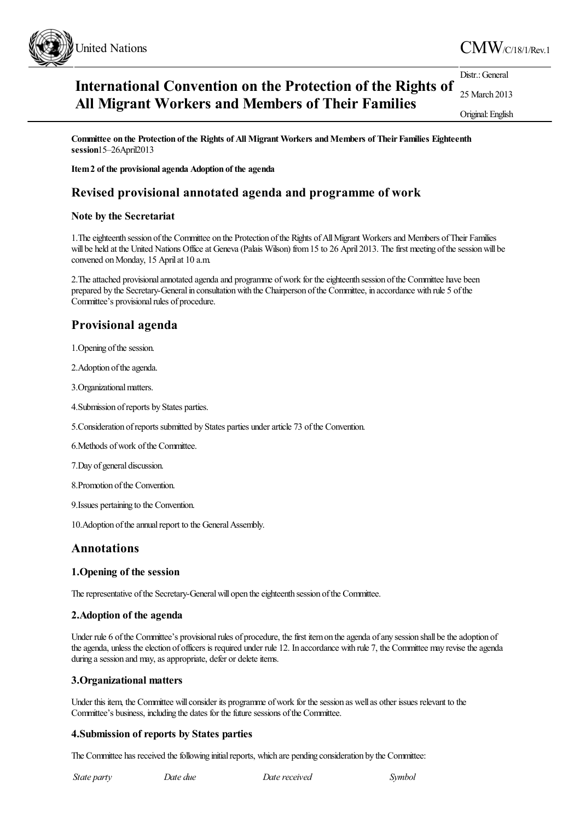

#### **International Convention on the Protection of the Rights of All Migrant Workers and Members of Their Families** Distr.: General 25 March 2013 Original:English

**Committee on the Protection of the Rights of All Migrant Workers andMembers of TheirFamilies Eighteenth session**15–26April2013

**Item2 of the provisional agenda Adoption of the agenda**

## **Revised provisional annotated agenda and programme of work**

### **Note by the Secretariat**

1. The eighteenth session of the Committee on the Protection of the Rights of All Migrant Workers and Members of Their Families will be held at the United Nations Office at Geneva (Palais Wilson) from 15 to 26 April 2013. The first meeting of the session will be convened on Monday, 15 April at 10 a.m.

2. The attached provisional annotated agenda and programme of work for the eighteenth session of the Committee have been prepared by the Secretary-General in consultation with the Chairperson of the Committee, in accordance with rule 5 of the Committee's provisional rules of procedure.

# **Provisional agenda**

1. Opening of the session.

2. Adoption of the agenda.

3. Organizational matters.

4.Submission ofreports by States parties.

5.Consideration ofreports submitted by States parties underarticle 73 ofthe Convention.

6. Methods of work of the Committee.

7.Day of general discussion.

8. Promotion of the Convention.

9.Issues pertaining to the Convention.

10. Adoption of the annual report to the General Assembly.

## **Annotations**

### **1.Opening of the session**

The representative of the Secretary-General will open the eighteenth session of the Committee.

### **2.Adoption of the agenda**

Under rule 6 of the Committee's provisional rules of procedure, the first item on the agenda of any session shall be the adoption of the agenda, unless the election of officers is required under rule 12. In accordance with rule 7, the Committee may revise the agenda during a session and may, as appropriate, defer or delete items.

### **3.Organizational matters**

Under this item, the Committee will consider its programme of work for the session as well as other issues relevant to the Committee's business, including the dates for the future sessions of the Committee.

### **4.Submission of reports by States parties**

The Committee has received the following initial reports, which are pending consideration by the Committee:

*State party Date due Datereceived Symbol*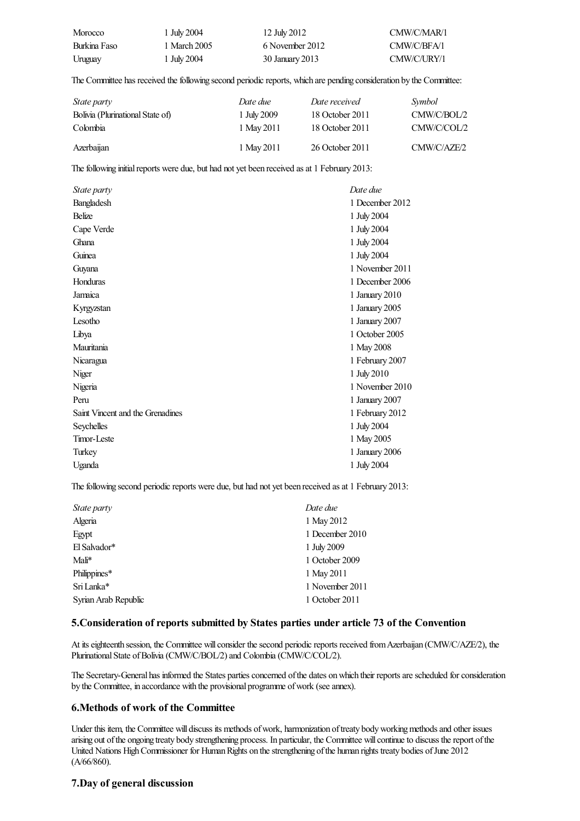| Morocco      | 1 July 2004  | 12 July 2012    | CMW/C/MAR/1 |
|--------------|--------------|-----------------|-------------|
| Burkina Faso | 1 March 2005 | 6 November 2012 | CMW/C/BFA/1 |
| Uruguay      | 1 July 2004  | 30 January 2013 | CMW/C/URY/1 |

The Committee has received the following second periodic reports, which are pending consideration by the Committee:

| <i>State party</i>               | Date due    | Date received   | <i>Symbol</i> |
|----------------------------------|-------------|-----------------|---------------|
| Bolivia (Plurinational State of) | 1 July 2009 | 18 October 2011 | CMW/C/BOL/2   |
| Colombia                         | 1 May 2011  | 18 October 2011 | CMW/C/COL/2   |
| Azerbaijan                       | 1 May 2011  | 26 October 2011 | CMW/C/AZF/2   |

The following initial reports were due, but had not yet been received as at 1 February 2013:

| <i>State party</i>               | Date due        |
|----------------------------------|-----------------|
| Bangladesh                       | 1 December 2012 |
| <b>Belize</b>                    | 1 July 2004     |
| Cape Verde                       | 1 July 2004     |
| Ghana                            | 1 July 2004     |
| Guinea                           | 1 July 2004     |
| Guyana                           | 1 November 2011 |
| Honduras                         | 1 December 2006 |
| Jamaica                          | 1 January 2010  |
| Kyrgyzstan                       | 1 January 2005  |
| Lesotho                          | 1 January 2007  |
| Libya                            | 1 October 2005  |
| Mauritania                       | 1 May 2008      |
| Nicaragua                        | 1 February 2007 |
| Niger                            | 1 July 2010     |
| Nigeria                          | 1 November 2010 |
| Peru                             | 1 January 2007  |
| Saint Vincent and the Grenadines | 1 February 2012 |
| Seychelles                       | 1 July 2004     |
| Timor-Leste                      | 1 May 2005      |
| Turkey                           | 1 January 2006  |
| Uganda                           | 1 July 2004     |

The following second periodic reports were due, but had not yet been received as at 1 February 2013:

| State party          | Date due        |
|----------------------|-----------------|
| Algeria              | 1 May 2012      |
| Egypt                | 1 December 2010 |
| El Salvador*         | 1 July 2009     |
| Mali*                | 1 October 2009  |
| Philippines*         | 1 May 2011      |
| Sri Lanka*           | 1 November 2011 |
| Syrian Arab Republic | 1 October 2011  |

### **5.Consideration of reports submitted by States parties under article 73 of the Convention**

At its eighteenth session, the Committee will consider the second periodic reports received from Azerbaijan (CMW/C/AZE/2), the Plurinational State of Bolivia (CMW/C/BOL/2) and Colombia (CMW/C/COL/2).

The Secretary-General has informed the States parties concerned of the dates on which their reports are scheduled for consideration by the Committee, in accordance with the provisional programme of work (see annex).

### **6.Methods of work of the Committee**

Under this item, the Committee will discuss its methods of work, harmonization of treaty body working methods and other issues arising out of the ongoing treaty body strengthening process. In particular, the Committee will continue to discuss the report of the United Nations High Commissioner for Human Rights on the strengthening of the human rights treaty bodies of June 2012 (A/66/860).

### **7.Day of general discussion**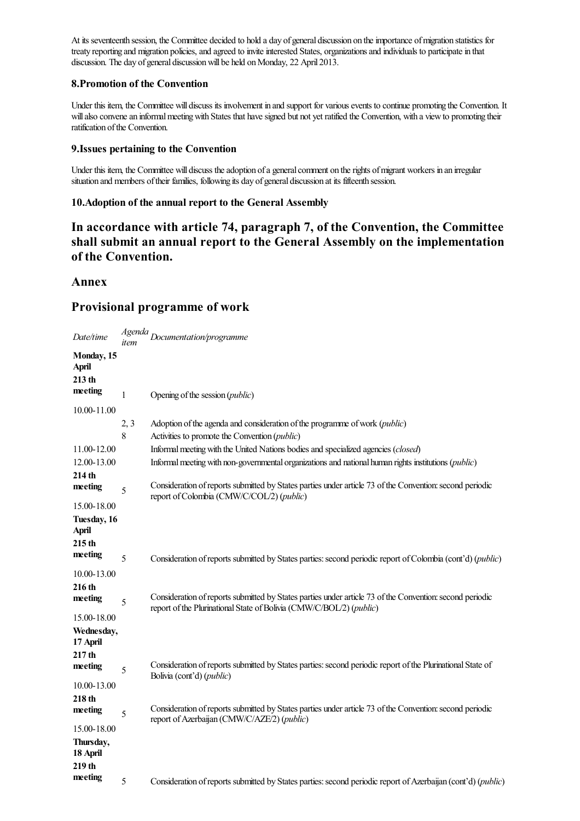At its seventeenth session, the Committee decided to hold a day of general discussion on the importance of migration statistics for treaty reporting and migration policies, and agreed to invite interested States, organizations and individuals to participate in that discussion. The day of general discussion will be held on Monday, 22 April 2013.

### **8.Promotion of the Convention**

Under this item, the Committee will discuss its involvement in and support for various events to continue promoting the Convention. It will also convene an informal meeting with States that have signed but not yet ratified the Convention, with a view to promoting their ratification of the Convention.

### **9.Issues pertaining to the Convention**

Under this item, the Committee will discuss the adoption of a general comment on the rights of migrant workers in an irregular situation and members of their families, following its day of general discussion at its fifteenth session.

## **10.Adoption of the annual report to the General Assembly**

**In accordance with article 74, paragraph 7, of the Convention, the Committee shall submit an annual report to the General Assembly on the implementation of the Convention.**

## **Annex**

## **Provisional programme of work**

| Date/time                                       |      | Agenda<br>Documentation/programme                                                                                                                                               |
|-------------------------------------------------|------|---------------------------------------------------------------------------------------------------------------------------------------------------------------------------------|
| Monday, 15<br><b>April</b><br>213 <sub>th</sub> |      |                                                                                                                                                                                 |
| meeting                                         | 1    | Opening of the session ( <i>public</i> )                                                                                                                                        |
| 10.00-11.00                                     |      |                                                                                                                                                                                 |
|                                                 | 2, 3 | Adoption of the agenda and consideration of the programme of work ( <i>public</i> )                                                                                             |
|                                                 | 8    | Activities to promote the Convention (public)                                                                                                                                   |
| 11.00-12.00                                     |      | Informal meeting with the United Nations bodies and specialized agencies (closed)                                                                                               |
| 12.00-13.00                                     |      | Informal meeting with non-governmental organizations and national human rights institutions (public)                                                                            |
| 214 th                                          |      |                                                                                                                                                                                 |
| meeting                                         | 5    | Consideration of reports submitted by States parties under article 73 of the Convention: second periodic<br>report of Colombia (CMW/C/COL/2) (public)                           |
| 15.00-18.00                                     |      |                                                                                                                                                                                 |
| Tuesday, 16<br>April                            |      |                                                                                                                                                                                 |
| 215 <sub>th</sub>                               |      |                                                                                                                                                                                 |
| meeting                                         | 5    | Consideration of reports submitted by States parties: second periodic report of Colombia (cont'd) (public)                                                                      |
| 10.00-13.00                                     |      |                                                                                                                                                                                 |
| 216 th<br>meeting                               | 5    | Consideration of reports submitted by States parties under article 73 of the Convention: second periodic<br>report of the Plurinational State of Bolivia (CMW/C/BOL/2) (public) |
| 15.00-18.00                                     |      |                                                                                                                                                                                 |
| Wednesday,<br>17 April                          |      |                                                                                                                                                                                 |
| 217 th                                          |      |                                                                                                                                                                                 |
| meeting                                         | 5    | Consideration of reports submitted by States parties: second periodic report of the Plurinational State of<br>Bolivia (cont'd) ( <i>public</i> )                                |
| 10.00-13.00                                     |      |                                                                                                                                                                                 |
| 218 th                                          |      |                                                                                                                                                                                 |
| meeting                                         | 5    | Consideration of reports submitted by States parties under article 73 of the Convention: second periodic<br>report of Azerbaijan (CMW/C/AZE/2) (public)                         |
| 15.00-18.00                                     |      |                                                                                                                                                                                 |
| Thursday,<br>18 April                           |      |                                                                                                                                                                                 |
| 219 th                                          |      |                                                                                                                                                                                 |
| meeting                                         | 5    | Consideration of reports submitted by States parties: second periodic report of Azerbaijan (cont'd) (public)                                                                    |